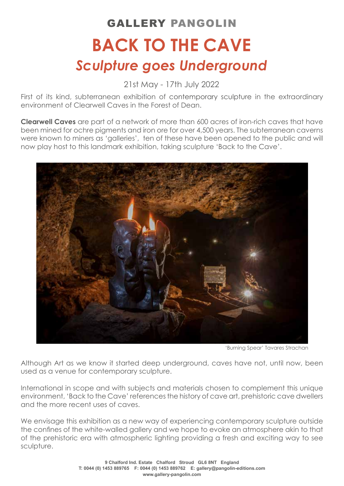## **BACK TO THE CAVE** GALLERY PANGOLIN *Sculpture goes Underground*

21st May - 17th July 2022

First of its kind, subterranean exhibition of contemporary sculpture in the extraordinary environment of Clearwell Caves in the Forest of Dean.

**Clearwell Caves** are part of a network of more than 600 acres of iron-rich caves that have been mined for ochre pigments and iron ore for over 4,500 years. The subterranean caverns were known to miners as 'galleries', ten of these have been opened to the public and will now play host to this landmark exhibition, taking sculpture 'Back to the Cave'.



'Burning Spear' Tavares Strachan

Although Art as we know it started deep underground, caves have not, until now, been used as a venue for contemporary sculpture.

International in scope and with subjects and materials chosen to complement this unique environment, 'Back to the Cave' references the history of cave art, prehistoric cave dwellers and the more recent uses of caves.

We envisage this exhibition as a new way of experiencing contemporary sculpture outside the confines of the white-walled gallery and we hope to evoke an atmosphere akin to that of the prehistoric era with atmospheric lighting providing a fresh and exciting way to see sculpture.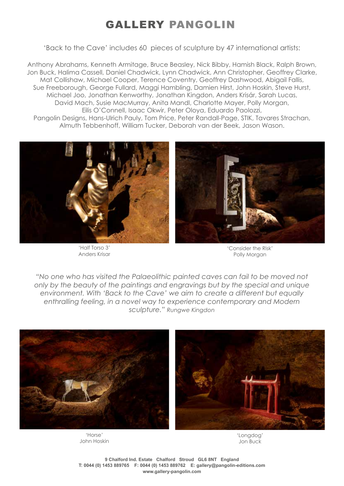## GALLERY PANGOLIN

'Back to the Cave' includes 60 pieces of sculpture by 47 international artists:

Anthony Abrahams, Kenneth Armitage, Bruce Beasley, Nick Bibby, Hamish Black, Ralph Brown, Jon Buck, Halima Cassell, Daniel Chadwick, Lynn Chadwick, Ann Christopher, Geoffrey Clarke, Mat Collishaw, Michael Cooper, Terence Coventry, Geoffrey Dashwood, Abigail Fallis, Sue Freeborough, George Fullard, Maggi Hambling, Damien Hirst, John Hoskin, Steve Hurst, Michael Joo, Jonathan Kenworthy, Jonathan Kingdon, Anders Krisár, Sarah Lucas, David Mach, Susie MacMurray, Anita Mandl, Charlotte Mayer, Polly Morgan, Eilis O'Connell, Isaac Okwir, Peter Oloya, Eduardo Paolozzi, Pangolin Designs, Hans-Ulrich Pauly, Tom Price, Peter Randall-Page, STIK, Tavares Strachan, Almuth Tebbenhoff, William Tucker, Deborah van der Beek, Jason Wason.



'Half Torso 3' Anders Krisar



'Consider the Risk' Polly Morgan

*"No one who has visited the Palaeolithic painted caves can fail to be moved not only by the beauty of the paintings and engravings but by the special and unique environment. With 'Back to the Cave' we aim to create a different but equally enthralling feeling, in a novel way to experience contemporary and Modern sculpture." Rungwe Kingdon*



'Horse' John Hoskin

'Longdog' Jon Buck

**9 Chalford Ind. Estate Chalford Stroud GL6 8NT England T: 0044 (0) 1453 889765 F: 0044 (0) 1453 889762 E: gallery@pangolin-editions.com www.gallery-pangolin.com**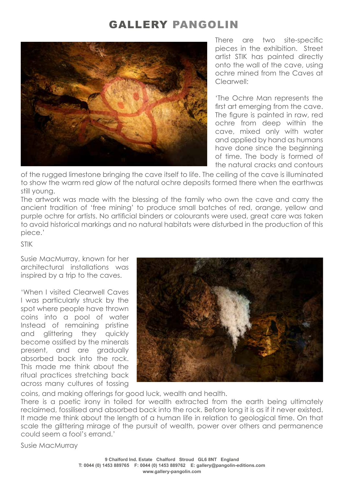## GALLERY PANGOLIN



There are two site-specific pieces in the exhibition. Street artist STIK has painted directly onto the wall of the cave, using ochre mined from the Caves at Clearwell:

'The Ochre Man represents the first art emerging from the cave. The figure is painted in raw, red ochre from deep within the cave, mixed only with water and applied by hand as humans have done since the beginning of time. The body is formed of the natural cracks and contours

of the rugged limestone bringing the cave itself to life. The ceiling of the cave is illuminated to show the warm red glow of the natural ochre deposits formed there when the earthwas still young.

The artwork was made with the blessing of the family who own the cave and carry the ancient tradition of 'free mining' to produce small batches of red, orange, yellow and purple ochre for artists. No artificial binders or colourants were used, great care was taken to avoid historical markings and no natural habitats were disturbed in the production of this piece.'

STIK

Susie MacMurray, known for her architectural installations was inspired by a trip to the caves.

'When I visited Clearwell Caves I was particularly struck by the spot where people have thrown coins into a pool of water Instead of remaining pristine and glittering they quickly become ossified by the minerals present, and are gradually absorbed back into the rock. This made me think about the ritual practices stretching back across many cultures of tossing



coins, and making offerings for good luck, wealth and health.

There is a poetic irony in toiled for wealth extracted from the earth being ultimately reclaimed, fossilised and absorbed back into the rock. Before long it is as if it never existed. It made me think about the length of a human life in relation to geological time. On that scale the glittering mirage of the pursuit of wealth, power over others and permanence could seem a fool's errand.'

Susie MacMurray